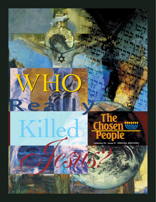

WHO

**Volume IX, Issue 9 SPECIAL EDITION**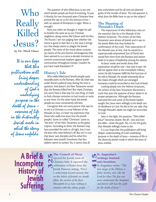## Who **Really** Killed Jesus?

**by Dr. Mitch Glaser**

*It is our hope that this publication will bring deeper understanding of God's underlying purpose in the death of Jesus – newness of life in the distinctly Jewish mode in which the story of Jesus unfolds.*

The question of who killed Jesus is not one which Jewish people are fond of revisiting. To put it bluntly, for two thousand years Christians have pinned the rap on us for this heinous crime with no statute of limitations in sight. When is enough?

Now, just when we thought it might be safe to breathe the same air as our Christian neighbors, along comes Mel Gibson with his film, *The Passion*. I am not judging here whether the movie is good or bad. But it is the issue it brings out that always seems to plague the Jewish people. The name of the movie alone conjures up visions of the anti-Semitic extravaganzas that have seemed to us a once-a-decade invitation to commit unrestricted mayhem against Jewish communities throughout Europe. Couldn't he just have made *Braveheart II*?

## **History's Tale**

Who really killed Jesus? Jewish people quite naturally point to the Romans. After all, Israel was under Rome's political sway during the time in question. And doesn't the New Testament record that the Romans killed him? But many Christians just won't have it that way. For one thing, it's hard to find a Roman centurion to hurl insults or rocks at any more. On the other hand, the Jewish people are most conveniently still here.

I recognize that not every person that says he or she is a Christian is a true follower of the Messiah (in fact, it's been my experience that those who really love Jesus love the Jewish people). Some so-called "Christians" point to "the Jews" of the New Testament as the guilty culprits. According to them, the Romans may have pounded the nails in, all right, but it was the Jews who were behind it all. But isn't it true that Jesus' own disciples and his other first followers were Jewish? Somehow, that fact seldom seems to surface. No, it seems that all

Jews everywhere and for all time are deemed guilty of the murder of Jesus. The real question is, what does the Bible have to say on the subject?

## **The Meaning of Messiah's Death**

The importance of who killed Jesus rests on the assertion that he is the Messiah of the Hebrew Scriptures. The writers of the New Testament were almost all Jewish and it was to the Jewish Bible that they looked for confirmation of the truth. Their expectation of the Messiah was, at first, that he would be a supernaturally empowered Son of David who would free them from the Romans and restore Israel to its place of leadership among the nations.

As Jesus' works and words show, their expectation would be met—but only in part. He did not appear then as the triumphant military victor. He did, however, fulfill the first function of his role as Messiah. He would voluntarily die as the means through which our estranged humanity could be reconciled to the God of Israel.

Looking deeply into the Hebrew Scriptures, the writers of the New Testament discovered a truth that puts the question of Jesus' death in its proper perspective. Although the Romans executed him and some of the Jewish leaders sought this, Jesus went willingly to his death out of obedience to God. He did so for our sake, that through Messiah's death we might be reconciled to God.

Seen in this light, the question, "Who killed Jesus?" becomes clearer. We all—Jew and non-Jew alike—share the guilt. Yet, it is for the guilty that Messiah willingly chose to die.

It is our hope that this publication will bring deeper understanding of God's underlying purpose in the death of Jesus—newness of life in the distinctly Jewish mode in which the story of Jesus unfolds.

**A Brief & Incomplete History of Jewish Suffering**

**The Council of Nicea**

rejected the Jewish roots of Christian faith. It separated the celebration of Easter from the Jewish Passover, stating, *"For it is unbecoming beyond measure that on this holiest of festivals we should follow the customs of the Jews. Henceforth let us have nothing in common with this odious people..."* **325** 

## **St. Augustine's writings fostered anti-Semitism 415**

St.Augustine wrote, *"The true image of the Hebrew is Judas Iscariot, who sells the Lord for silver.The Jew can never understand the Scriptures and forever will bear the guilt for the death of Jesus."*

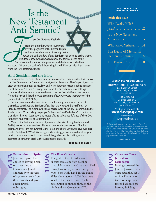## Is the New Testament Anti-Semitic?

## **by Dr. Robert Vasholz**

From the time the Church triumphed over the paganism of the Roman Empire and assumed the mantle of worldly political power, the dark shadow of anti-Semitism has been its lasting shame. This deadly shadow has hovered above the terrible deeds of the Crusaders, the Inquisition, the pogroms and the horrors of the Nazi Holocaust. What is the basis of this horrifying hatred? Does anti-Semitism spring from the New Testament itself?

## **Anti-Semitism and the Bible**

In a quest for the roots of anti-Semitism, many authors have asserted that texts of the New Testament are "tainted with anti-Jewish allegations." The Gospel of John has often been singled out as particularly guilty. The foremost reason is John's frequent use of the term "the Jews"—many times in hostile or confrontational settings.

Although this is true, it must also be said that the Gospel affirms that Yeshua (Jesus) is a Jew and that there was a segment of Jews who were supportive of him (John 7:40, 8:31, 10:19-21, 42).

But the question is whether criticism or unflattering descriptions in and of themselves constitute anti-Semitism. If so, then the Hebrew Bible itself must be judged accordingly. For example, the most sacred work of the Jewish community, the Torah, records Moses calling his people "stiff-necked" and "rebellious." I count no less than eight historical descriptions by Moses of Israel's absolute defiance of their God in the first four chapters of Deuteronomy.

Moses is the first in a succession of Jewish prophets (including Isaiah, Jeremiah, Ezekiel, Hosea and Amos) who call Israel to task for the profanation of her holy calling. And yet, I am not aware that the Torah or Hebrew Scriptures have ever been labeled "anti-Jewish." Why? We recognize these struggles as an intra-Jewish religious tension in an attempt to aid Israel toward the goal of her high calling; not as attempts to condemn Israel as the worst people on earth.

#### **continued on page 7**

#### **SPECIAL EDITION Volume IX, Issue 9**

## **Inside this Issue:**

CLEARAN

| Who Really Killed       |
|-------------------------|
|                         |
| Is the New Testament    |
| Anti-Semitic?3          |
| Who Killed Yeshua? 4    |
| The Death of Messiah in |
| Hebrew Scriptures 6     |
| The Passion Play  8     |
|                         |

#### CHOSEN PEOPLE MINISTRIES

International Headquarters 241 East 51st Street New York, NY 10022 212-223-2252

> In Canada Box 897 Station B North York, ON M2K 2R1 416-250-0177

#### Visit us on the web at: **www.chosenpeople.com**

Our Spanish website is www.puebloelegido.com

*The Chosen People* newsletter is published monthly by Chosen People Ministries. For more information, or to receive *The Chosen People* newsletter, write to Chosen People Ministries. Editor: Zhava Glaser; Staff Writer: Alan Shore; Design: Lois Gable; Christ and the Two Thieves by Moreau ©SuperStock, Inc. Photos on page 3 ©2003 Photodisc, Inc. Etchings on pages 4 and 6 are by Gustave Doré.

PRINTED IN THE USA

**Persecution in Spain**  Jews were given the choice of leaving Spain **CO**<br>**613**<br>**613**<br>**613**<br>**613**<br>**613**<br>**613**<br>**613**<br>**613**<br>**613**<br>**613**<br>**613**<br>**613**<br>**613**<br>**613**<br>**613**<br>**613**<br>**613**<br>**613**<br>**613**<br>**613** Christianity. Jewish children over six years of age were taken from their parents and given a non-Jewish upbringing.

### **The First Crusade**

The goal of the Crusades was to liberate Jerusalem from Muslim control. However, the Crusaders killed many Jews as they crossed Europe *en route* to the Holy Land. In the Rhine Valley alone, about 12,000 Jews were killed in the First Crusade. Such persecution continued through the ninth and last Crusade in 1272. **1096**

**Crusaders Burn Jerusalem Synagogue 1099**

Having cornered the Jews of Jerusalem in a synagogue, they set it on fire.Those who tried to escape were forced back into the burning building.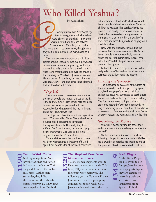# Who Killed Yeshua?

**by Alan Shore**

Growing up Jewish in New York City, I lived in a neighborhood where there were all sorts of churches. I knew there was some kind of difference between Protestants and Catholics, but I had no idea what it was. I certainly knew, though, what they had in common: a dead man, nailed to a cross.

This man was everywhere—on small silver crosses around schoolgirls' necks, on big wooden crosses in art museums, in paintings and in the movies. I actually thought for a time that the huge stone cross that loomed over the graves in the cemetery in Woodside, Queens, was where He was buried. A little later, I learned his name was Jesus. Oh yes, and one other thing. I learned that we Jews had killed him.

## **Why Us?**

There are many expressions of contempt for the Jewish people and right at the top of the list is the epithet, "Christ-killer." It was hard for me to believe that some people could hold me responsible for what seemed like such a distant event, but I knew it was true.

This, I gather, is how the indictment against us reads: "The Jews killed Christ. That's why they are a cursed breed, condemned to wander throughout the earth. That's why they have suffered God's punishment, and we are happy to be the instruments God uses to inflict his judgment upon them." Case closed.

Time and time again this smoldering charge has been whipped into a firestorm of hatred against our people. One of the worst calumnies is the infamous "blood libel," which accuses the Jewish people of the ritual murder of Christian children at Passover. This baseless charge has proven to be deadly to the Jewish people. In 1903 in Russian Moldavia, a pogrom erupted during Easter that resulted in the death of 49 Jews, with another 500 injured and roughly 2,000 made homeless.

Now, with the publicity surrounding the release of Mel Gibson's new movie, *The Passion,* Jewish people are understandably nervous. When the question is inevitably raised, "Who killed Jesus?" will the fingers that are pointed be pointed directly at us?

Perhaps it is time to reopen the case. Who really killed Jesus? Let's take a fresh look at the suspects, the evidence and the motives.

## **Finding the Suspects**

The most detailed accounts of the death of Jesus are recorded in the Gospels. They agree that, by the urging of the Jewish religious authorities, Jesus was sentenced to death under Roman law and crucified by the Roman military. The Romans employed this particularly gruesome method of execution frequently, not only as a horribly painful punishment, but also as a deterrent to offenders against civil order. So, for whatever reason, the Romans actually killed him.

## **Searching for Motive**

Why was it done? Any inquiry stops short without a look at the underlying reasons for the act itself.

We have an itinerant Jewish rabbi whose following is largely in the hinterlands of Galilee. He is a worker of miracles. He speaks as one of the prophets of old. He comes to Jerusalem,

**Death in York Castle** Seeking refuge from Anti-I ewish riots that had started in London, the Jews of York, England, fortified themselves in a castle. Rather than surrender, they killed themselves on the Sabbath before Passover. By 1290, Jews were expelled from England. **1190** 



## **The Shepherd Crusade and Massacre in France**

40,000 French shepherds went to Palestine on another crusade. This time, 140 Jewish communities in their path were destroyed.The following year, in Guienne, France, Jews were accused of prompting criminals to poison wells. 5,000 Jews were burned alive at the stake.



As the Black Plague took its awful toll in Europe, Jews became the scapegoats.Again, they are accused of poisoning wells and are tortured and slaughtered from Spain to Poland.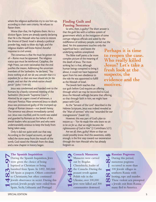where the religious authorities try to size him up, according to their own criteria. He refuses to flatter them.

Worse than that, He frightens them. He is a divisive figure. Some are already openly declaring that He is the Messiah who has come to restore the throne of David. Israel is already a political powder keg, ready to blow sky high, and the religious leaders well knew Rome's forceful response to civil unrest.

The consensus is that He must be gotten rid of—Rome must be appeased. The religious status quo must be reinforced. Caiaphas, the High Priest, can even rationalize that the end justifies the means. Addressing the uncertain members of the Sanhedrin, he declared, *"You know nothing at all, nor do you consider that it is expedient for us that one man should die for the people, and not that the whole nation should perish"* (John 11:49-50).

Jesus was condemned and handed over to the Romans by a hastily convened meeting of the Sanhedrin (the Jewish "Supreme Court"). Abetted by an urgent crowd of witnesses, a reluctant Pontius Pilate sentenced Jesus to death. Jesus was pronounced guilty of the trumped-up charge of Roman treason—not Jewish heresy. The sentence was almost immediately carried out. Jesus was crucified, and his tomb was sealed and guarded by Romans at the behest of the Jewish leaders who accused him and who were understandably anxious to keep the body from being taken away.

Only it did not quite work out that way. According to the Gospel accounts, an angel rolled the stone away from the mouth of the tomb, God raised the Messiah from the dead, and a new chapter in history began.

#### **The Spanish Inquisition**

During the Spanish Inquisition, Jews were given the choice of being baptized as Christians or being banished from Spain. In 1492, 300,000 left Spain as paupers. Others converted to Christianity, but often continued Jewish observance in secret. During this period, Jewish people were exiled from Spain, Sicily, Lithuania and Portugal.

## **Finding Guilt and Passing Sentence**

So who, then, is guilty? The short answer is that the guilt lies with a ruthless system of government which, at the instigation of some corrupt religious officials and aided by the indifference of ordinary people, carried out the deed. Yet this assessment touches only the superficial facts—and leaves the underlying realities unexplored. **Perhaps it is time**

The Bible itself paints a far more complex picture of the meaning of the death of Jesus. The most striking fact is that, although human beings conspired to bring it about, it could not have happened apart from his own obedience to the role He was appointed to fulfill as the Messiah of Israel.

The Jewish faith teaches that our guilt before God requires an offering through which we may be reconciled to God. Jesus the Messiah willingly became that offering, so that through faith in him, we might have peace with God. **motives.**

As the "Servant of the Lord" described in the Hebrew Scriptures, Jesus was indeed revealed as the "Man of sorrows" who was "wounded for our transgressions" (Isaiah 53).

However, this was part of God's plan to restore us – *"For He made Him who knew no sin to be sin for us, that we might become the righteousness of God in Him"* (2 Corinthians 5:21).

Are we all, then, guilty? More so than we could possibly know. And this awareness, oddly enough, is the first step toward our exoneration through the risen Messiah who has already forgiven us.

> **Cossack Massacres** Massacres were carried out by Bogdan Chmielnicki, leader of the Cossacks. During the peasant revolt against Polish rule in the Ukraine, over 100,000 Jews were killed and 300 communities destroyed. **1648-49**

**Russian Pogroms** During this period, **CO** numerous pogroms occurred in more than 100 Jewish villages in southern Russia with looting, rape and murder. These violent acts prompted a Jewish exit from Russia; **1881-84** many fled to America.

**to reopen the case. Who really killed Jesus? Let's take a**

**fresh look at the**

**evidence and the**

**suspects, the**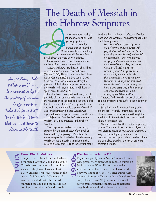

*The question, "Who killed Jesus?" may be answered only in the context of an even larger question, "Why did Jesus die?" It is to the Scriptures that we must turn to discover the truth.*

## The Death of Messiah in the Hebrew Scriptures

I don't remember hearing a lot about Messiah as I was growing up. It was somewhat taken for granted that one day the Messiah would come and bring peace to the world. But very few details about the Messiah were offered. But actually, there is a lot of information in the Jewish Scriptures about Messiah!

As Jews, we know that the Messiah will be a descendant of Abraham, Isaac and Jacob (Genesis 12:1-3); He will come from the Tribe of Judah (Genesis 49:10) and be a son of David (II Samuel 7:16). We also can see clearly the promises of the Hebrew prophets that one day the Messiah will reign on Earth and initiate an age of peace (Isaiah 9:6-7).

Jewish scholars have produced a very detailed portfolio of Messianic activities, which includes the resurrection of the dead and the return of all Jews to the land of Israel. But they have left out one vital aspect in their description of Messiah's work and character. It is that Messiah was supposed to die as a perfect sacrifice for the sins of both Jews and Gentiles. Let's take a look at Messiah's death, as predicted in the Hebrew Scriptures.

The purpose for his death is most clearly explained in the 53rd chapter of the Book of Isaiah. In this great passage of Scripture, the statesman-prophet Isaiah describes the coming Messiah. What is especially significant in this passage is to see that Jesus, as the Servant of the Lord, was born to die as a perfect sacrifice for both Jews and Gentiles. This is clearly pictured in the following verses:

> *He is despised and rejected by men, a Man of sorrows and acquainted with grief. And we hid, as it were, our faces from Him; He was despised, and we did not esteem Him. Surely He has borne our griefs and carried our sorrows; yet we esteemed Him stricken, smitten by God, and afflicted. But He was wounded for our transgressions, He was bruised for our iniquities; the chastisement for our peace was upon Him, and by His stripes we are healed. All we like sheep have gone astray; we have turned, every one, to his own way; and the Lord has laid on Him the iniquity of us all* (Isaiah 53:3-6).

Thus, we find a Messiah whose vindication comes only after He has suffered the indignity of death.

Jesus died to fulfill these and many other prophecies—willingly, I might add—as the ultimate sacrifice for sin. And it is through the shedding of His sacrificial blood that you and I have forgiveness of sin.

We must admit that this is not an appealing picture. The scene of the crucifixion of Jesus in Mel Gibson's movie, *The Passion*, for example, is very realistic and quite gruesome. There is nothing humane or pretty about his death. But it did take place exactly as the Jewish prophets foretold it would.

### **Easter Riot in Moldova**

The Jews were blamed for the deaths of a murdered Christian child and a young Christian woman who had committed suicide at the Jewish Hospital.That Easter, violence erupted, resulting in the death of 49 Jews, with 500 injured. It was later revealed that relatives had murdered the child and the suicide had nothing to do with the Jewish people. **1903**

# **Discrimination in the U.S. 1920s**

Prejudice against Jews in North America became widespread. Many universities imposed quotas on Jewish students.When Harvard accepted all students on the basis of merit, the Jewish student body was about 15%. In 1941, after quotas were imposed, Princeton University had a Jewish student body of fewer than 2%. Jews were also usually barred from Protestant country clubs, restricted neighborhoods and other Protestant enclaves.

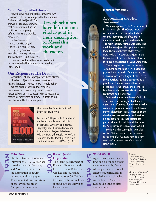## *Who Really Killed Jesus?* **<b>Continued from page 3**

Now that we have the Biblical answer to why Jesus had to die, we can respond to the question,

"Who really killed Jesus?" The answer is that Jesus, knowing that his death would be the fulfillment of prophecy, offered himself as a sacrifice for our sin.

In the Garden of Gethsemane He prayed, *"Father, if it is Your will, take this cup away from Me; nevertheless not My will, but Yours, be done"* (Luke 22:42-44).

**Jewish scholars have left out one vital aspect in their description of Messiah's work and character.**

Jesus was not forced by anyone to die, but rather He died willingly, in obedience to his Father's will.

### **Our Response to His Death**

Generations of Jewish people have been blamed for the death of Jesus. It is a terrible crime of history that Jesus—Himself a Jew—would abhor.

Yet the death of Yeshua does require a response—and there is only one that we can reasonably make. It is to accept Him as Messiah, to receive his forgiveness, and view His death as our own, because He died in our place.



*Our Hands Are Stained with Blood*  by Dr. Michael Brown

For nearly 2000 years, the Church and the Jewish people have had a history of pain, anti-Semitism, and hatred. Tragically, few Christians know about it. In this book by Jewish believer, Michael Brown, the tragic story of the "Church" and the Jewish people is laid out for all to see. #3078 \$12.95

## **Approaching the New Testament**

**We must approach the New Testament in the same light. The Gospels were written within the context of Judaism. We must recognize this if we are to understand and appreciate them fully. The main subject, Yeshua, was a Jew. The disciples were Jews. His opponents were Jews. The main themes of divergence were Jewish. The sources are Jewish and the authors of the New Testament, with the possible exception of Luke, were Jews.** 

**The struggles portrayed in the New Testament ought to be viewed as taking place within the Jewish family—and not as accusations leveled against the Jews by those outside. Yeshua is portrayed as a prophet in the succession of Jewish prophets of Israel, and as the promised Jewish Messiah. Yeshua's identity as a Jew is affirmed and reaffirmed.** 

**Seen in this way, one thinks of what is sometimes said during heated family discussions. If an outsider were to use the same descriptions, it would be a different matter altogether. Any attempt to isolate the charges that Yeshua leveled against his people for use as justification for persecution or hatred does violence to the Scriptures and is an offense to God.**

**For it was this same John who also wrote,** *"But he who does the truth comes to the light, that his deeds may be clearly seen, that they have been done in God***" (John 3:21).**

#### **Kristallnacht**

On the infamous *Kristallnacht* (November 9-10, 1938), Nazi hatred erupted in Germany and Austria and resulted in the destruction of Jewish businesses and synagogues. The attempted extermination of the Jewish people in Europe was under way. **1938**

### **French Jewish Deportation**

The Vichy government of France collaborated with Nazi Germany. Before the war had ended, France deported over 76,000 Jews to Nazi death camps. Only about 2,500 are known to have survived. **1940**



**World War II**  Approximately six million Jews and six million others were murdered by Nazis. Although there are notable exceptions, particularly in the Netherlands, churches and ordinary Christians in Europe did little to alter the outcome.

#### Sources:

"Anti-Semitism," *Encyclopedia Judaica,* Keter Publishing House, Jerusalem, 1971.

*A History of the Jewish People,* Edited by H.H. Ben-Sasson, Cambridge, MA, Harvard University Press, 1976.